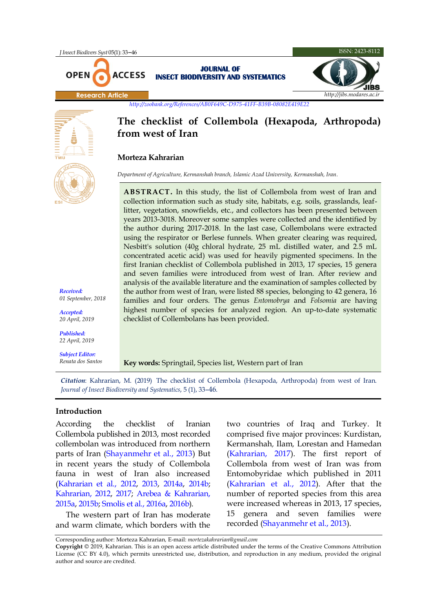# **The checklist of Collembola (Hexapoda, Arthropoda) from west of Iran**

## **Morteza Kahrarian**

*Department of Agriculture, Kermanshah branch, Islamic Azad University, Kermanshah, Iran.*

**ABSTRACT.** In this study, the list of Collembola from west of Iran and collection information such as study site, habitats, e.g. soils, grasslands, leaflitter, vegetation, snowfields, etc., and collectors has been presented between years 2013-3018. Moreover some samples were collected and the identified by the author during 2017-2018. In the last case, Collembolans were extracted using the respirator or Berlese funnels. When greater clearing was required, Nesbitt's solution (40g chloral hydrate, 25 mL distilled water, and 2.5 mL concentrated acetic acid) was used for heavily pigmented specimens. In the first Iranian checklist of Collembola published in 2013, 17 species, 15 genera and seven families were introduced from west of Iran. After review and analysis of the available literature and the examination of samples collected by the author from west of Iran, were listed 88 species, belonging to 42 genera, 16 families and four orders. The genus *Entomobrya* and *Folsomia* are having highest number of species for analyzed region. An up-to-date systematic checklist of Collembolans has been provided.

## **Key words:** Springtail, Species list, Western part of Iran

*Citation*: Kahrarian, M. (2019) The checklist of Collembola (Hexapoda, Arthropoda) from west of Iran. *Journal of Insect Biodiversity and Systematics*, 5 (1), 33–46.

## **Introduction**

According the checklist of Iranian Collembola published in 2013, most recorded collembolan was introduced from northern parts of Iran [\(Shayanmehr et al., 2013\)](#page-12-0) But in recent years the study of Collembola fauna in west of Iran also increased [\(Kahrarian et al., 2012,](#page-11-0) [2013,](#page-11-1) [2014a,](#page-11-2) [2014b;](#page-11-3) [Kahrarian, 2012,](#page-11-4) [2017;](#page-11-5) Arebea [& Kahrarian,](#page-11-6)  [2015a,](#page-11-6) [2015b](#page-11-7)[; Smolis et al., 2016a](#page-12-1)[, 2016b](#page-12-2)).

The western part of Iran has moderate and warm climate, which borders with the two countries of Iraq and Turkey. It comprised five major provinces: Kurdistan, Kermanshah*,* Ilam*,* Lorestan and Hamedan [\(Kahrarian, 2017\)](#page-11-5). The first report of Collembola from west of Iran was from Entomobyridae which published in 2011 [\(Kahrarian et al., 2012\)](#page-11-0). After that the number of reported species from this area were increased whereas in 2013, 17 species, 15 genera and seven families were recorded [\(Shayanmehr et al., 2013\)](#page-12-0).



*Received: 01 September, 2018*

*Accepted: 20 April, 2019*

*Published: 22 April, 2019*

*Subject Editor: Renata dos Santos*

Corresponding author: Morteza Kahrarian*,* E-mail: *mortezakahrarian@gmail.com*

**Copyright** © 2019, Kahrarian. This is an open access article distributed under the terms of the Creative Commons Attribution License (CC BY 4.0), which permits unrestricted use, distribution, and reproduction in any medium, provided the original author and source are credited.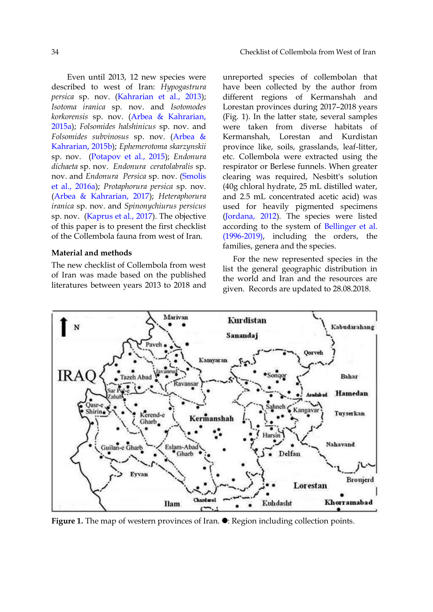Even until 2013, 12 new species were described to west of Iran: *Hypogastrura persica* sp. nov. [\(Kahrarian et al., 2013\)](#page-11-1); *Isotoma iranica* sp. nov. and *Isotomodes korkorensis* sp. nov. [\(Arbea & Kahrarian,](#page-11-6)  [2015a\)](#page-11-6); *Folsomides halshinicus* sp. nov. and *Folsomides subvinosus* sp. nov. [\(Arbea &](#page-11-7)  [Kahrarian, 2015b\)](#page-11-7); *Ephemerotoma skarzynskii* sp. nov. [\(Potapov et al., 2015\)](#page-12-3); *Endonura dichaeta* sp. nov. *Endonura ceratolabralis* sp. nov. and *Endonura Persica* sp. nov. [\(Smolis](#page-12-1)  [et al., 2016a\)](#page-12-1); *Protaphorura persica* sp. nov. [\(Arbea & Kahrarian, 2017\)](#page-11-8); *Heteraphorura iranica* sp. nov. and *Spinonychiurus persicus* sp. nov. [\(Kaprus et al., 2017\)](#page-11-9). The objective of this paper is to present the first checklist of the Collembola fauna from west of Iran.

## **Material and methods**

The new checklist of Collembola from west of Iran was made based on the published literatures between years 2013 to 2018 and unreported species of collembolan that have been collected by the author from different regions of Kermanshah and Lorestan provinces during 2017–2018 years (Fig. 1). In the latter state, several samples were taken from diverse habitats of Kermanshah, Lorestan and Kurdistan province like, soils, grasslands, leaf-litter, etc. Collembola were extracted using the respirator or Berlese funnels. When greater clearing was required, Nesbitt's solution (40g chloral hydrate, 25 mL distilled water, and 2.5 mL concentrated acetic acid) was used for heavily pigmented specimens [\(Jordana, 2012\)](#page-11-10). The species were listed according to the system of [Bellinger et al.](#page-11-11)  [\(1996-2019\),](#page-11-11) including the orders, the families, genera and the species.

For the new represented species in the list the general geographic distribution in the world and Iran and the resources are given. Records are updated to 28.08.2018.



Figure 1. The map of western provinces of Iran.  $\bullet$ : Region including collection points.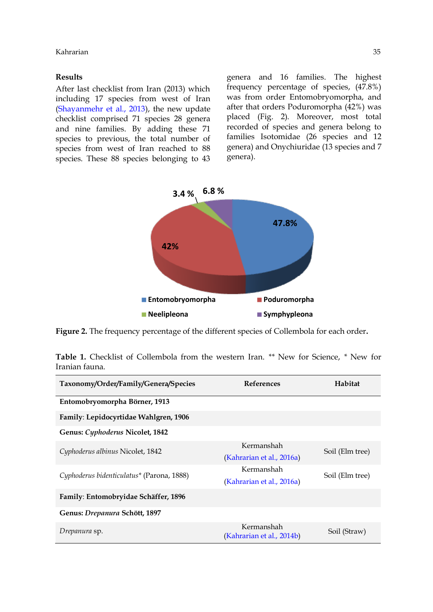### **Results**

After last checklist from Iran (2013) which including 17 species from west of Iran [\(Shayanmehr et al., 2013\)](#page-12-0), the new update checklist comprised 71 species 28 genera and nine families. By adding these 71 species to previous, the total number of species from west of Iran reached to 88 species. These 88 species belonging to 43 genera and 16 families. The highest frequency percentage of species, (47.8%) was from order Entomobryomorpha, and after that orders Poduromorpha (42%) was placed (Fig. 2). Moreover, most total recorded of species and genera belong to families Isotomidae (26 species and 12 genera) and Onychiuridae (13 species and 7 genera).



**Figure 2.** The frequency percentage of the different species of Collembola for each order**.**

|                |  | <b>Table 1.</b> Checklist of Collembola from the western Iran. ** New for Science, * New for |  |  |  |  |  |
|----------------|--|----------------------------------------------------------------------------------------------|--|--|--|--|--|
| Iranian fauna. |  |                                                                                              |  |  |  |  |  |

| Taxonomy/Order/Family/Genera/Species      | <b>References</b>                       | Habitat         |
|-------------------------------------------|-----------------------------------------|-----------------|
| Entomobryomorpha Börner, 1913             |                                         |                 |
| Family: Lepidocyrtidae Wahlgren, 1906     |                                         |                 |
| Genus: Cyphoderus Nicolet, 1842           |                                         |                 |
| Cyphoderus albinus Nicolet, 1842          | Kermanshah<br>(Kahrarian et al., 2016a) | Soil (Elm tree) |
| Cyphoderus bidenticulatus* (Parona, 1888) | Kermanshah<br>(Kahrarian et al., 2016a) | Soil (Elm tree) |
| Family: Entomobryidae Schäffer, 1896      |                                         |                 |
| Genus: Drepanura Schött, 1897             |                                         |                 |
| Drepanura sp.                             | Kermanshah<br>(Kahrarian et al., 2014b) | Soil (Straw)    |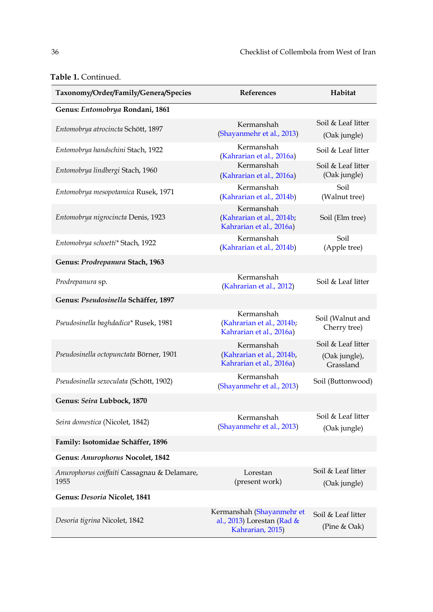| Taxonomy/Order/Family/Genera/Species                | References                                                                  | Habitat                                          |  |
|-----------------------------------------------------|-----------------------------------------------------------------------------|--------------------------------------------------|--|
| Genus: Entomobrya Rondani, 1861                     |                                                                             |                                                  |  |
| Entomobrya atrocincta Schött, 1897                  | Kermanshah<br>(Shayanmehr et al., 2013)                                     | Soil & Leaf litter<br>(Oak jungle)               |  |
| Entomobrya handschini Stach, 1922                   | Kermanshah<br>(Kahrarian et al., 2016a)                                     | Soil & Leaf litter                               |  |
| Entomobrya lindbergi Stach, 1960                    | Kermanshah<br>(Kahrarian et al., 2016a)                                     | Soil & Leaf litter<br>(Oak jungle)               |  |
| Entomobrya mesopotamica Rusek, 1971                 | Kermanshah<br>(Kahrarian et al., 2014b)                                     | Soil<br>(Walnut tree)                            |  |
| Entomobrya nigrocincta Denis, 1923                  | Kermanshah<br>(Kahrarian et al., 2014b;<br>Kahrarian et al., 2016a)         | Soil (Elm tree)                                  |  |
| Entomobrya schoetti* Stach, 1922                    | Kermanshah<br>(Kahrarian et al., 2014b)                                     | Soil<br>(Apple tree)                             |  |
| Genus: Prodrepanura Stach, 1963                     |                                                                             |                                                  |  |
| Prodrepanura sp.                                    | Kermanshah<br>(Kahrarian et al., 2012)                                      | Soil & Leaf litter                               |  |
| Genus: Pseudosinella Schäffer, 1897                 |                                                                             |                                                  |  |
| Pseudosinella baghdadica* Rusek, 1981               | Kermanshah<br>(Kahrarian et al., 2014b;<br>Kahrarian et al., 2016a)         | Soil (Walnut and<br>Cherry tree)                 |  |
| Pseudosinella octopunctata Börner, 1901             | Kermanshah<br>(Kahrarian et al., 2014b,<br>Kahrarian et al., 2016a)         | Soil & Leaf litter<br>(Oak jungle),<br>Grassland |  |
| Pseudosinella sexoculata (Schött, 1902)             | Kermanshah<br>(Shayanmehr et al., 2013)                                     | Soil (Buttonwood)                                |  |
| Genus: Seira Lubbock, 1870                          |                                                                             |                                                  |  |
| Seira domestica (Nicolet, 1842)                     | Kermanshah<br>(Shayanmehr et al., 2013)                                     | Soil & Leaf litter<br>(Oak jungle)               |  |
| Family: Isotomidae Schäffer, 1896                   |                                                                             |                                                  |  |
| Genus: Anurophorus Nocolet, 1842                    |                                                                             |                                                  |  |
| Anurophorus coiffaiti Cassagnau & Delamare,<br>1955 | Lorestan<br>(present work)                                                  | Soil & Leaf litter<br>(Oak jungle)               |  |
| Genus: Desoria Nicolet, 1841                        |                                                                             |                                                  |  |
| Desoria tigrina Nicolet, 1842                       | Kermanshah (Shayanmehr et<br>al., 2013) Lorestan (Rad &<br>Kahrarian, 2015) | Soil & Leaf litter<br>(Pine $&$ Oak)             |  |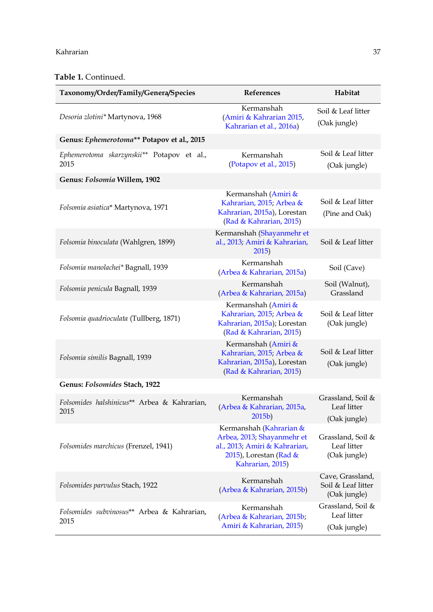#### Kahrarian 37

| Taxonomy/Order/Family/Genera/Species                | References                                                                                                                           | Habitat                                                |
|-----------------------------------------------------|--------------------------------------------------------------------------------------------------------------------------------------|--------------------------------------------------------|
| Desoria zlotini* Martynova, 1968                    | Kermanshah<br>(Amiri & Kahrarian 2015,<br>Kahrarian et al., 2016a)                                                                   | Soil & Leaf litter<br>(Oak jungle)                     |
| Genus: Ephemerotoma** Potapov et al., 2015          |                                                                                                                                      |                                                        |
| Ephemerotoma skarzynskii** Potapov et al.,<br>2015  | Kermanshah<br>(Potapov et al., 2015)                                                                                                 | Soil & Leaf litter<br>(Oak jungle)                     |
| Genus: Folsomia Willem, 1902                        |                                                                                                                                      |                                                        |
| Folsomia asiatica* Martynova, 1971                  | Kermanshah (Amiri &<br>Kahrarian, 2015; Arbea &<br>Kahrarian, 2015a), Lorestan<br>(Rad & Kahrarian, 2015)                            | Soil & Leaf litter<br>(Pine and Oak)                   |
| Folsomia binoculata (Wahlgren, 1899)                | Kermanshah (Shayanmehr et<br>al., 2013; Amiri & Kahrarian,<br>2015)                                                                  | Soil & Leaf litter                                     |
| Folsomia manolachei* Bagnall, 1939                  | Kermanshah<br>(Arbea & Kahrarian, 2015a)                                                                                             | Soil (Cave)                                            |
| Folsomia penicula Bagnall, 1939                     | Kermanshah<br>(Arbea & Kahrarian, 2015a)                                                                                             | Soil (Walnut),<br>Grassland                            |
| Folsomia quadrioculata (Tullberg, 1871)             | Kermanshah (Amiri &<br>Kahrarian, 2015; Arbea &<br>Kahrarian, 2015a); Lorestan<br>(Rad & Kahrarian, 2015)                            | Soil & Leaf litter<br>(Oak jungle)                     |
| Folsomia similis Bagnall, 1939                      | Kermanshah (Amiri &<br>Kahrarian, 2015; Arbea &<br>Kahrarian, 2015a), Lorestan<br>(Rad & Kahrarian, 2015)                            | Soil & Leaf litter<br>(Oak jungle)                     |
| Genus: Folsomides Stach, 1922                       |                                                                                                                                      |                                                        |
| Folsomides halshinicus** Arbea & Kahrarian,<br>2015 | Kermanshah<br>(Arbea & Kahrarian, 2015a,<br>2015 <sub>b</sub>                                                                        | Grassland, Soil &<br>Leaf litter<br>(Oak jungle)       |
| Folsomides marchicus (Frenzel, 1941)                | Kermanshah (Kahrarian &<br>Arbea, 2013; Shayanmehr et<br>al., 2013; Amiri & Kahrarian,<br>2015), Lorestan (Rad &<br>Kahrarian, 2015) | Grassland, Soil &<br>Leaf litter<br>(Oak jungle)       |
| Folsomides parvulus Stach, 1922                     | Kermanshah<br>(Arbea & Kahrarian, 2015b)                                                                                             | Cave, Grassland,<br>Soil & Leaf litter<br>(Oak jungle) |
| Folsomides subvinosus** Arbea & Kahrarian,<br>2015  | Kermanshah<br>(Arbea & Kahrarian, 2015b;<br>Amiri & Kahrarian, 2015)                                                                 | Grassland, Soil &<br>Leaf litter<br>(Oak jungle)       |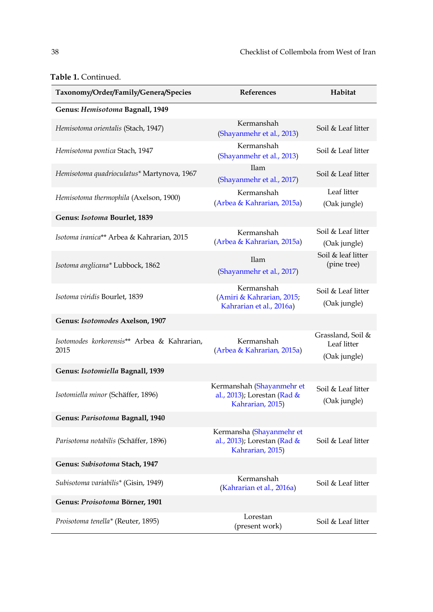| Taxonomy/Order/Family/Genera/Species                | References                                                                   | Habitat                                          |
|-----------------------------------------------------|------------------------------------------------------------------------------|--------------------------------------------------|
| Genus: Hemisotoma Bagnall, 1949                     |                                                                              |                                                  |
| Hemisotoma orientalis (Stach, 1947)                 | Kermanshah<br>(Shayanmehr et al., 2013)                                      | Soil & Leaf litter                               |
| Hemisotoma pontica Stach, 1947                      | Kermanshah<br>(Shayanmehr et al., 2013)                                      | Soil & Leaf litter                               |
| Hemisotoma quadrioculatus* Martynova, 1967          | Ilam<br>(Shayanmehr et al., 2017)                                            | Soil & Leaf litter                               |
| Hemisotoma thermophila (Axelson, 1900)              | Kermanshah<br>(Arbea & Kahrarian, 2015a)                                     | Leaf litter<br>(Oak jungle)                      |
| Genus: Isotoma Bourlet, 1839                        |                                                                              |                                                  |
| Isotoma iranica** Arbea & Kahrarian, 2015           | Kermanshah<br>(Arbea & Kahrarian, 2015a)                                     | Soil & Leaf litter<br>(Oak jungle)               |
| Isotoma anglicana* Lubbock, 1862                    | <b>Ilam</b><br>(Shayanmehr et al., 2017)                                     | Soil & leaf litter<br>(pine tree)                |
| Isotoma viridis Bourlet, 1839                       | Kermanshah<br>(Amiri & Kahrarian, 2015;<br>Kahrarian et al., 2016a)          | Soil & Leaf litter<br>(Oak jungle)               |
| Genus: Isotomodes Axelson, 1907                     |                                                                              |                                                  |
| Isotomodes korkorensis** Arbea & Kahrarian,<br>2015 | Kermanshah<br>(Arbea & Kahrarian, 2015a)                                     | Grassland, Soil &<br>Leaf litter<br>(Oak jungle) |
| Genus: Isotomiella Bagnall, 1939                    |                                                                              |                                                  |
| Isotomiella minor (Schäffer, 1896)                  | Kermanshah (Shayanmehr et<br>al., 2013); Lorestan (Rad &<br>Kahrarian, 2015) | Soil & Leaf litter<br>(Oak jungle)               |
| Genus: Parisotoma Bagnall, 1940                     |                                                                              |                                                  |
| Parisotoma notabilis (Schäffer, 1896)               | Kermansha (Shayanmehr et<br>al., 2013); Lorestan (Rad &<br>Kahrarian, 2015)  | Soil & Leaf litter                               |
| Genus: Subisotoma Stach, 1947                       |                                                                              |                                                  |
| Subisotoma variabilis* (Gisin, 1949)                | Kermanshah<br>(Kahrarian et al., 2016a)                                      | Soil & Leaf litter                               |
| Genus: Proisotoma Börner, 1901                      |                                                                              |                                                  |
| Proisotoma tenella* (Reuter, 1895)                  | Lorestan<br>(present work)                                                   | Soil & Leaf litter                               |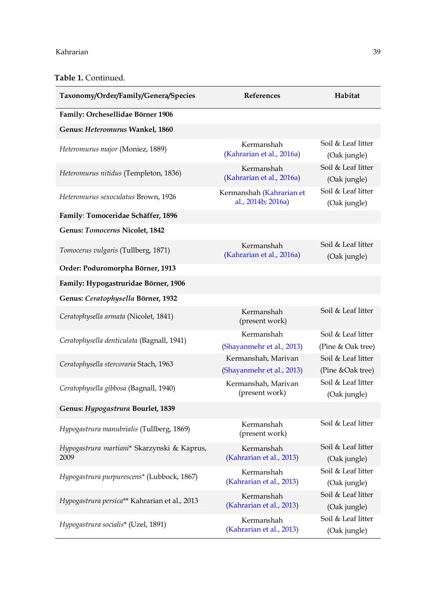| Taxonomy/Order/Family/Genera/Species                | <b>References</b>                              | Habitat                            |
|-----------------------------------------------------|------------------------------------------------|------------------------------------|
| Family: Orchesellidae Börner 1906                   |                                                |                                    |
| Genus: Heteromurus Wankel, 1860                     |                                                |                                    |
| Heteromurus major (Moniez, 1889)                    | Kermanshah<br>(Kahrarian et al., 2016a)        | Soil & Leaf litter<br>(Oak jungle) |
| Heteromurus nitidus (Templeton, 1836)               | Kermanshah<br>(Kahrarian et al., 2016a)        | Soil & Leaf litter<br>(Oak jungle) |
| Heteromurus sexoculatus Brown, 1926                 | Kermanshah (Kahrarian et<br>al., 2014b; 2016a) | Soil & Leaf litter<br>(Oak jungle) |
| Family: Tomoceridae Schäffer, 1896                  |                                                |                                    |
| Genus: Tomocerus Nicolet, 1842                      |                                                |                                    |
| Tomocerus vulgaris (Tullberg, 1871)                 | Kermanshah<br>(Kahrarian et al., 2016a)        | Soil & Leaf litter<br>(Oak jungle) |
| Order: Poduromorpha Börner, 1913                    |                                                |                                    |
| Family: Hypogastruridae Börner, 1906                |                                                |                                    |
| Genus: Ceratophysella Börner, 1932                  |                                                |                                    |
| Ceratophysella armata (Nicolet, 1841)               | Kermanshah<br>(present work)                   | Soil & Leaf litter                 |
| Ceratophysella denticulata (Bagnall, 1941)          | Kermanshah                                     | Soil & Leaf litter                 |
|                                                     | (Shayanmehr et al., 2013)                      | (Pine & Oak tree)                  |
| Ceratophysella stercoraria Stach, 1963              | Kermanshah, Marivan                            | Soil & Leaf litter                 |
|                                                     | (Shayanmehr et al., 2013)                      | (Pine &Oak tree)                   |
| Ceratophysella gibbosa (Bagnall, 1940)              | Kermanshah, Marivan<br>(present work)          | Soil & Leaf litter<br>(Oak jungle) |
| Genus: Hypogastrura Bourlet, 1839                   |                                                |                                    |
| Hypogastrura manubrialis (Tullberg, 1869)           | Kermanshah<br>(present work)                   | Soil & Leaf litter                 |
| Hypogastrura martiani* Skarzynski & Kaprus,<br>2009 | Kermanshah<br>(Kahrarian et al., 2013)         | Soil & Leaf litter<br>(Oak jungle) |
| Hypogastrura purpurescens* (Lubbock, 1867)          | Kermanshah<br>(Kahrarian et al., 2013)         | Soil & Leaf litter<br>(Oak jungle) |
| Hypogastrura persica** Kahrarian et al., 2013       | Kermanshah<br>(Kahrarian et al., 2013)         | Soil & Leaf litter<br>(Oak jungle) |
| Hypogastrura socialis* (Uzel, 1891)                 | Kermanshah<br>(Kahrarian et al., 2013)         | Soil & Leaf litter<br>(Oak jungle) |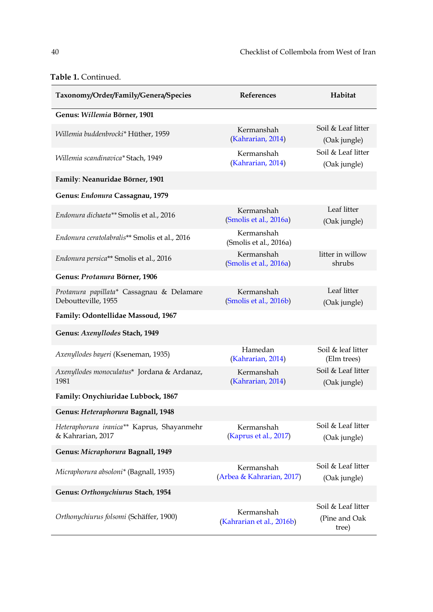| Taxonomy/Order/Family/Genera/Species                             | References                              | Habitat                                      |
|------------------------------------------------------------------|-----------------------------------------|----------------------------------------------|
| Genus: Willemia Börner, 1901                                     |                                         |                                              |
| Willemia buddenbrocki* Hüther, 1959                              | Kermanshah<br>(Kahrarian, 2014)         | Soil & Leaf litter<br>(Oak jungle)           |
| Willemia scandinavica* Stach, 1949                               | Kermanshah<br>(Kahrarian, 2014)         | Soil & Leaf litter<br>(Oak jungle)           |
| Family: Neanuridae Börner, 1901                                  |                                         |                                              |
| Genus: Endonura Cassagnau, 1979                                  |                                         |                                              |
| Endonura dichaeta** Smolis et al., 2016                          | Kermanshah<br>(Smolis et al., 2016a)    | Leaf litter<br>(Oak jungle)                  |
| Endonura ceratolabralis** Smolis et al., 2016                    | Kermanshah<br>(Smolis et al., 2016a)    |                                              |
| Endonura persica** Smolis et al., 2016                           | Kermanshah<br>(Smolis et al., 2016a)    | litter in willow<br>shrubs                   |
| Genus: Protanura Börner, 1906                                    |                                         |                                              |
| Protanura papillata* Cassagnau & Delamare<br>Deboutteville, 1955 | Kermanshah<br>(Smolis et al., 2016b)    | Leaf litter<br>(Oak jungle)                  |
| Family: Odontellidae Massoud, 1967                               |                                         |                                              |
| Genus: Axenyllodes Stach, 1949                                   |                                         |                                              |
| Axenyllodes bayeri (Kseneman, 1935)                              | Hamedan<br>(Kahrarian, 2014)            | Soil & leaf litter<br>(Elm trees)            |
| Axenyllodes monoculatus* Jordana & Ardanaz,<br>1981              | Kermanshah<br>(Kahrarian, 2014)         | Soil & Leaf litter<br>(Oak jungle)           |
| Family: Onychiuridae Lubbock, 1867                               |                                         |                                              |
| Genus: Heteraphorura Bagnall, 1948                               |                                         |                                              |
| Heteraphorura iranica** Kaprus, Shayanmehr<br>& Kahrarian, 2017  | Kermanshah<br>(Kaprus et al., 2017)     | Soil & Leaf litter<br>(Oak jungle)           |
| Genus: Micraphorura Bagnall, 1949                                |                                         |                                              |
| Micraphorura absoloni* (Bagnall, 1935)                           | Kermanshah<br>(Arbea & Kahrarian, 2017) | Soil & Leaf litter<br>(Oak jungle)           |
| Genus: Orthonychiurus Stach, 1954                                |                                         |                                              |
| Orthonychiurus folsomi (Schäffer, 1900)                          | Kermanshah<br>(Kahrarian et al., 2016b) | Soil & Leaf litter<br>(Pine and Oak<br>tree) |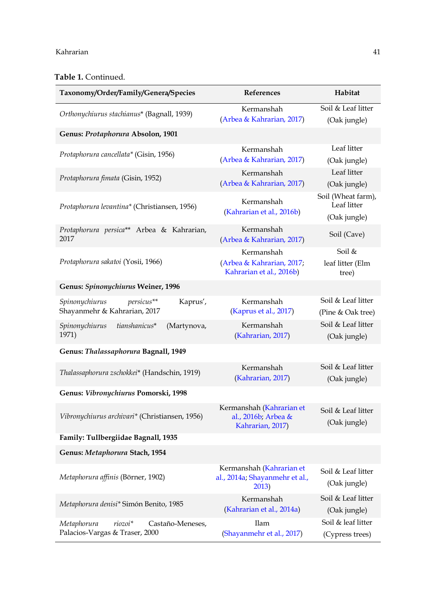#### Kahrarian 41

| Taxonomy/Order/Family/Genera/Species              | References                                            | Habitat                           |
|---------------------------------------------------|-------------------------------------------------------|-----------------------------------|
| Orthonychiurus stachianus* (Bagnall, 1939)        | Kermanshah                                            | Soil & Leaf litter                |
|                                                   | (Arbea & Kahrarian, 2017)                             | (Oak jungle)                      |
| Genus: Protaphorura Absolon, 1901                 |                                                       |                                   |
| Protaphorura cancellata* (Gisin, 1956)            | Kermanshah                                            | Leaf litter                       |
|                                                   | (Arbea & Kahrarian, 2017)                             | (Oak jungle)                      |
| Protaphorura fimata (Gisin, 1952)                 | Kermanshah                                            | Leaf litter                       |
|                                                   | (Arbea & Kahrarian, 2017)                             | (Oak jungle)                      |
| Protaphorura levantina* (Christiansen, 1956)      | Kermanshah<br>(Kahrarian et al., 2016b)               | Soil (Wheat farm),<br>Leaf litter |
|                                                   |                                                       | (Oak jungle)                      |
| Protaphorura persica** Arbea & Kahrarian,<br>2017 | Kermanshah<br>(Arbea & Kahrarian, 2017)               | Soil (Cave)                       |
|                                                   | Kermanshah                                            | Soil &                            |
| Protaphorura sakatoi (Yosii, 1966)                | (Arbea & Kahrarian, 2017;<br>Kahrarian et al., 2016b) | leaf litter (Elm<br>tree)         |
| Genus: Spinonychiurus Weiner, 1996                |                                                       |                                   |
| persicus**<br>Kaprus',<br>Spinonychiurus          | Kermanshah                                            | Soil & Leaf litter                |
| Shayanmehr & Kahrarian, 2017                      | (Kaprus et al., 2017)                                 | (Pine & Oak tree)                 |
| tianshanicus*<br>Spinonychiurus<br>(Martynova,    | Kermanshah                                            | Soil & Leaf litter                |
| 1971)                                             | (Kahrarian, 2017)                                     | (Oak jungle)                      |
| Genus: Thalassaphorura Bagnall, 1949              |                                                       |                                   |
| Thalassaphorura zschokkei* (Handschin, 1919)      | Kermanshah                                            | Soil & Leaf litter                |
|                                                   | (Kahrarian, 2017)                                     | (Oak jungle)                      |
| Genus: Vibronychiurus Pomorski, 1998              |                                                       |                                   |
|                                                   | Kermanshah (Kahrarian et                              | Soil & Leaf litter                |
| Vibronychiurus archivari* (Christiansen, 1956)    | al., 2016b; Arbea &<br>Kahrarian, 2017)               | (Oak jungle)                      |
| Family: Tullbergiidae Bagnall, 1935               |                                                       |                                   |
| Genus: Metaphorura Stach, 1954                    |                                                       |                                   |
|                                                   | Kermanshah (Kahrarian et                              | Soil & Leaf litter                |
| Metaphorura affinis (Börner, 1902)                | al., 2014a; Shayanmehr et al.,<br>2013)               | (Oak jungle)                      |
| Metaphorura denisi* Simón Benito, 1985            | Kermanshah                                            | Soil & Leaf litter                |
|                                                   | (Kahrarian et al., 2014a)                             | (Oak jungle)                      |
| Metaphorura<br>riozoi*<br>Castaño-Meneses,        | <b>Ilam</b>                                           | Soil & leaf litter                |
| Palacios-Vargas & Traser, 2000                    | (Shayanmehr et al., 2017)                             | (Cypress trees)                   |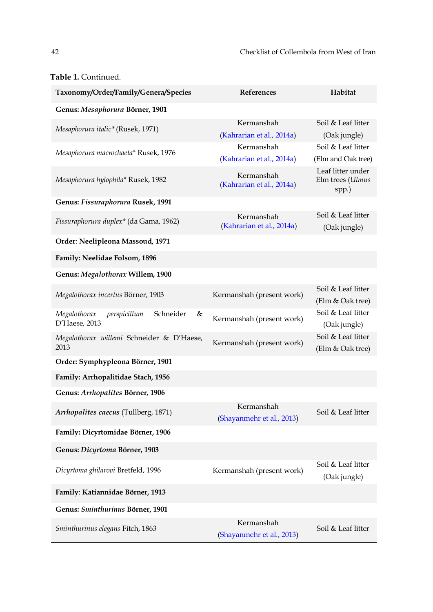| Taxonomy/Order/Family/Genera/Species                            | References                              | Habitat                                        |
|-----------------------------------------------------------------|-----------------------------------------|------------------------------------------------|
| Genus: Mesaphorura Börner, 1901                                 |                                         |                                                |
| Mesaphorura italic* (Rusek, 1971)                               | Kermanshah<br>(Kahrarian et al., 2014a) | Soil & Leaf litter<br>(Oak jungle)             |
| Mesaphorura macrochaeta* Rusek, 1976                            | Kermanshah<br>(Kahrarian et al., 2014a) | Soil & Leaf litter<br>(Elm and Oak tree)       |
| Mesaphorura hylophila* Rusek, 1982                              | Kermanshah<br>(Kahrarian et al., 2014a) | Leaf litter under<br>Elm trees (Ulmus<br>spp.) |
| Genus: Fissuraphorura Rusek, 1991                               |                                         |                                                |
| Fissuraphorura duplex* (da Gama, 1962)                          | Kermanshah<br>(Kahrarian et al., 2014a) | Soil & Leaf litter<br>(Oak jungle)             |
| Order: Neelipleona Massoud, 1971                                |                                         |                                                |
| Family: Neelidae Folsom, 1896                                   |                                         |                                                |
| Genus: Megalothorax Willem, 1900                                |                                         |                                                |
| Megalothorax incertus Börner, 1903                              | Kermanshah (present work)               | Soil & Leaf litter<br>(Elm & Oak tree)         |
| Schneider<br>&<br>Megalothorax<br>perspicillum<br>D'Haese, 2013 | Kermanshah (present work)               | Soil & Leaf litter<br>(Oak jungle)             |
| Megalothorax willemi Schneider & D'Haese,<br>2013               | Kermanshah (present work)               | Soil & Leaf litter<br>(Elm & Oak tree)         |
| Order: Symphypleona Börner, 1901                                |                                         |                                                |
| Family: Arrhopalitidae Stach, 1956                              |                                         |                                                |
| Genus: Arrhopalites Börner, 1906                                |                                         |                                                |
| Arrhopalites caecus (Tullberg, 1871)                            | Kermanshah<br>(Shayanmehr et al., 2013) | Soil & Leaf litter                             |
| Family: Dicyrtomidae Börner, 1906                               |                                         |                                                |
| Genus: Dicyrtoma Börner, 1903                                   |                                         |                                                |
| Dicyrtoma ghilarovi Bretfeld, 1996                              | Kermanshah (present work)               | Soil & Leaf litter<br>(Oak jungle)             |
| Family: Katiannidae Börner, 1913                                |                                         |                                                |
| Genus: Sminthurinus Börner, 1901                                |                                         |                                                |
| Sminthurinus elegans Fitch, 1863                                | Kermanshah<br>(Shayanmehr et al., 2013) | Soil & Leaf litter                             |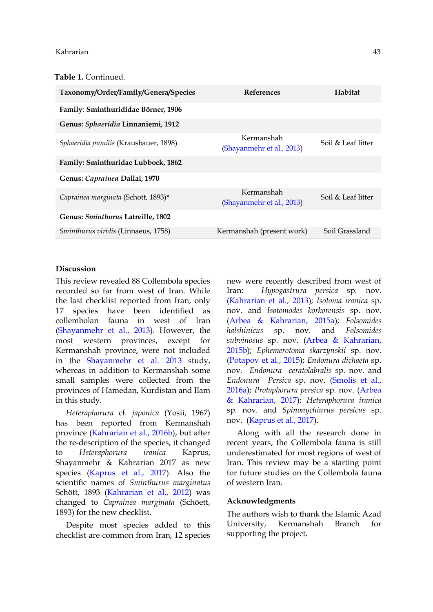| Taxonomy/Order/Family/Genera/Species  | <b>References</b>                       | Habitat            |
|---------------------------------------|-----------------------------------------|--------------------|
| Family: Sminthurididae Börner, 1906   |                                         |                    |
| Genus: Sphaeridia Linnaniemi, 1912    |                                         |                    |
| Sphaeridia pumilis (Krausbauer, 1898) | Kermanshah<br>(Shayanmehr et al., 2013) | Soil & Leaf litter |
| Family: Sminthuridae Lubbock, 1862    |                                         |                    |
| Genus: Caprainea Dallai, 1970         |                                         |                    |
| Caprainea marginata (Schott, 1893)*   | Kermanshah<br>(Shayanmehr et al., 2013) | Soil & Leaf litter |
| Genus: Sminthurus Latreille, 1802     |                                         |                    |
| Sminthurus viridis (Linnaeus, 1758)   | Kermanshah (present work)               | Soil Grassland     |

### **Discussion**

This review revealed 88 Collembola species recorded so far from west of Iran. While the last checklist reported from Iran, only 17 species have been identified as collembolan fauna in west of Iran [\(Shayanmehr et al., 2013\)](#page-12-0). However, the most western provinces, except for Kermanshah province, were not included in the [Shayanmehr et al.](#page-12-0) 2013 study, whereas in addition to Kermanshah some small samples were collected from the provinces of Hamedan, Kurdistan and Ilam in this study.

*Heteraphorura* cf. *japonica* (Yosii, 1967) has been reported from Kermanshah province [\(Kahrarian et al., 2016b\)](#page-11-16), but after the re-description of the species, it changed to *Heteraphorura iranica* Kaprus, Shayanmehr & Kahrarian 2017 as new species [\(Kaprus et al., 2017\)](#page-11-9). Also the scientific names of *Sminthurus marginatus*  Schött, 1893 [\(Kahrarian et al., 2012\)](#page-11-0) was changed to *Caprainea marginata* (Schöett, 1893) for the new checklist.

Despite most species added to this checklist are common from Iran, 12 species

new were recently described from west of Iran: *Hypogastrura persica* sp. nov. [\(Kahrarian et al., 2013\)](#page-11-1); *Isotoma iranica* sp. nov. and *Isotomodes korkorensis* sp. nov. [\(Arbea & Kahrarian, 2015a\)](#page-11-6); *Folsomides halshinicus* sp. nov. and *Folsomides subvinosus* sp. nov. [\(Arbea & Kahrarian,](#page-11-7)  [2015b\)](#page-11-7); *Ephemerotoma skarzynskii* sp. nov. [\(Potapov et al., 2015\)](#page-12-3); *Endonura dichaeta* sp. nov. *Endonura ceratolabralis* sp. nov. and *Endonura Persica* sp. nov. [\(Smolis et al.,](#page-12-1)  [2016a\)](#page-12-1); *Protaphorura persica* sp. nov. [\(Arbea](#page-11-8)  [& Kahrarian, 2017\)](#page-11-8); *Heteraphorura iranica* sp. nov. and *Spinonychiurus persicus* sp. nov. [\(Kaprus et al., 2017\)](#page-11-9).

Along with all the research done in recent years, the Collembola fauna is still underestimated for most regions of west of Iran. This review may be a starting point for future studies on the Collembola fauna of western Iran.

#### **Acknowledgments**

The authors wish to thank the Islamic Azad University, Kermanshah Branch for supporting the project.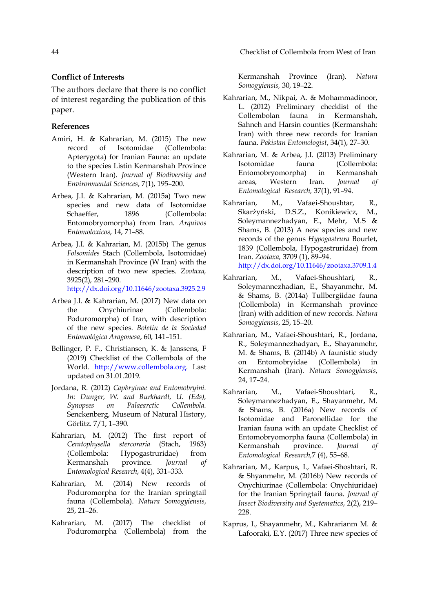## **Conflict of Interests**

The authors declare that there is no conflict of interest regarding the publication of this paper.

#### **References**

- <span id="page-11-13"></span>Amiri, H. & Kahrarian, M. (2015) The new record of Isotomidae (Collembola: Apterygota) for Iranian Fauna: an update to the species Listin Kermanshah Province (Western Iran). *Journal of Biodiversity and Environmental Sciences*, 7(1), 195–200.
- <span id="page-11-6"></span>Arbea, J.I. & Kahrarian, M. (2015a) Two new species and new data of Isotomidae Schaeffer, 1896 (Collembola: Entomobryomorpha) from Iran. *Arquivos Entomoloxicos*, 14, 71–88.
- <span id="page-11-7"></span>Arbea, J.I. & Kahrarian, M. (2015b) The genus *Folsomides* Stach (Collembola, Isotomidae) in Kermanshah Province (W Iran) with the description of two new species. *Zootaxa,* 3925(2), 281–290. <http://dx.doi.org/10.11646/zootaxa.3925.2.9>
- <span id="page-11-8"></span>Arbea J.I. & Kahrarian, M. (2017) New data on the Onychiurinae (Collembola: Poduromorpha) of Iran, with description of the new species. *Boletín de la Sociedad Entomológica Aragonesa*, 60, 141–151.
- <span id="page-11-11"></span>Bellinger, P. F., Christiansen, K. & Janssens, F (2019) Checklist of the Collembola of the World. [http://www.collembola.org.](http://www.collembola.org/) Last updated on 31.01.2019.
- <span id="page-11-10"></span>Jordana, R. (2012) *Capbryinae and Entomobryini. In: Dunger, W. and Burkhardt, U. (Eds), Synopses on Palaearctic Collembola.*  Senckenberg, Museum of Natural History, Görlitz. 7/1, 1–390.
- <span id="page-11-4"></span>Kahrarian, M. (2012) The first report of *Ceratophysella stercoraria* (Stach, 1963) (Collembola: Hypogastruridae) from Kermanshah province. *Journal of Entomological Research*, 4(4), 331–333.
- <span id="page-11-15"></span>Kahrarian, M. (2014) New records of Poduromorpha for the Iranian springtail fauna (Collembola). *Natura Somogyiensis*, 25, 21–26.
- <span id="page-11-5"></span>Kahrarian, M. (2017) The checklist of Poduromorpha (Collembola) from the

Kermanshah Province (Iran). *Natura Somogyiensis,* 30, 19–22.

- <span id="page-11-0"></span>Kahrarian, M., Nikpai, A. & Mohammadinoor, L. (2012) Preliminary checklist of the Collembolan fauna in Kermanshah, Sahneh and Harsin counties (Kermanshah: Iran) with three new records for Iranian fauna. *Pakistan Entomologist*, 34(1), 27–30.
- <span id="page-11-14"></span>Kahrarian, M. & Arbea, J.I. (2013) Preliminary Isotomidae fauna (Collembola: Entomobryomorpha) in Kermanshah areas, Western Iran. *Journal of Entomological Research,* 37(1), 91–94.
- <span id="page-11-1"></span>Kahrarian, M., Vafaei-Shoushtar, R., Skarżyński, D.S.Z., Konikiewicz, M., Soleymannezhadyan, E., Mehr, M.S & Shams, B. (2013) A new species and new records of the genus *Hypogastrura* Bourlet, 1839 (Collembola, Hypogastruridae) from Iran. *Zootaxa,* 3709 (1), 89–94. <http://dx.doi.org/10.11646/zootaxa.3709.1.4>
- <span id="page-11-2"></span>Kahrarian, M., Vafaei-Shoushtari, R., Soleymannezhadian, E., Shayanmehr, M. & Shams, B. (2014a) Tullbergiidae fauna (Collembola) in Kermanshah province (Iran) with addition of new records. *Natura Somogyiensis*, 25, 15–20.
- <span id="page-11-3"></span>Kahrarian, M., Vafaei-Shoushtari, R., Jordana, R., Soleymannezhadyan, E., Shayanmehr, M. & Shams, B. (2014b) A faunistic study on Entomobryidae (Collembola) in Kermanshah (Iran). *Natura Somogyiensis*, 24, 17–24.
- <span id="page-11-12"></span>Kahrarian, M., Vafaei-Shoushtari, R., Soleymannezhadyan, E., Shayanmehr, M. & Shams, B. (2016a) New records of Isotomidae and Paronellidae for the Iranian fauna with an update Checklist of Entomobryomorpha fauna (Collembola) in Kermanshah province. *Journal of Entomological Research,*7 (4), 55–68.
- <span id="page-11-16"></span>Kahrarian, M., Karpus, I., Vafaei-Shoshtari, R. & Shyanmehr, M. (2016b) New records of Onychiurinae (Collembola: Onychiuridae) for the Iranian Springtail fauna. *Journal of Insect Biodiversity and Systematics*, 2(2), 219– 228.
- <span id="page-11-9"></span>Kaprus, I., Shayanmehr, M., Kahrarianm M. & Lafooraki, E.Y. (2017) Three new species of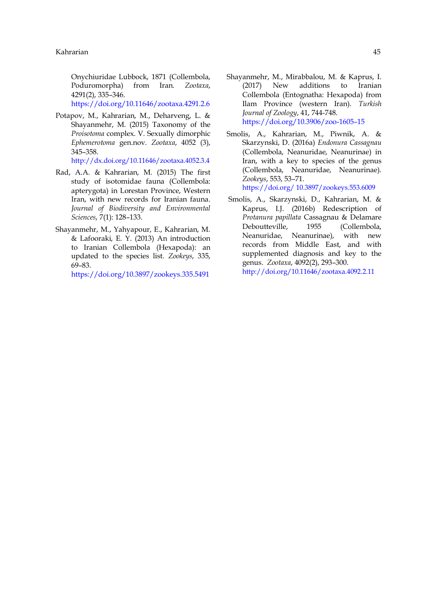Onychiuridae Lubbock, 1871 (Collembola, Poduromorpha) from Iran. *Zootaxa*, 4291(2), 335–346.

<https://doi.org/10.11646/zootaxa.4291.2.6>

<span id="page-12-3"></span>Potapov, M., Kahrarian, M., Deharveng, L. & Shayanmehr, M. (2015) Taxonomy of the *Proisotoma* complex. V. Sexually dimorphic *Ephemerotoma* gen.nov. *Zootaxa*, 4052 (3), 345–358.

<http://dx.doi.org/10.11646/zootaxa.4052.3.4>

- <span id="page-12-4"></span>Rad, A.A. & Kahrarian, M. (2015) The first study of isotomidae fauna (Collembola: apterygota) in Lorestan Province, Western Iran, with new records for Iranian fauna. *Journal of Biodiversity and Environmental Sciences*, 7(1): 128–133.
- <span id="page-12-0"></span>Shayanmehr, M., Yahyapour, E., Kahrarian, M. & Lafooraki, E. Y. (2013) An introduction to Iranian Collembola (Hexapoda): an updated to the species list. *Zookeys*, 335, 69–83.

<https://doi.org/10.3897/zookeys.335.5491>

- <span id="page-12-5"></span>Shayanmehr, M., Mirabbalou, M. & Kaprus, I. (2017) New additions to Iranian Collembola (Entognatha: Hexapoda) from Ilam Province (western Iran). *Turkish Journal of Zoology*, 41, 744-748. [https://doi.org/10.3906/zoo-1605](https://doi.org/10.3906/zoo-1605–15)–15
- <span id="page-12-1"></span>Smolis, A., Kahrarian, M., Piwnik, A. & Skarzynski, D. (2016a) *Endonura Cassagnau* (Collembola, Neanuridae, Neanurinae) in Iran, with a key to species of the genus (Collembola, Neanuridae, Neanurinae). *Zookeys*, 553, 53–71.

[https://doi.org/ 10.3897/zookeys.553.6009](https://doi.org/%2010.3897/zookeys.553.6009)

<span id="page-12-2"></span>Smolis, A., Skarzynski, D., Kahrarian, M. & Kaprus, I.J. (2016b) Redescription of *Protanura papillata* Cassagnau & Delamare Deboutteville, 1955 (Collembola, Neanuridae, Neanurinae), with new records from Middle East, and with supplemented diagnosis and key to the genus. *Zootaxa*, 4092(2), 293–300. <http://doi.org/10.11646/zootaxa.4092.2.11>